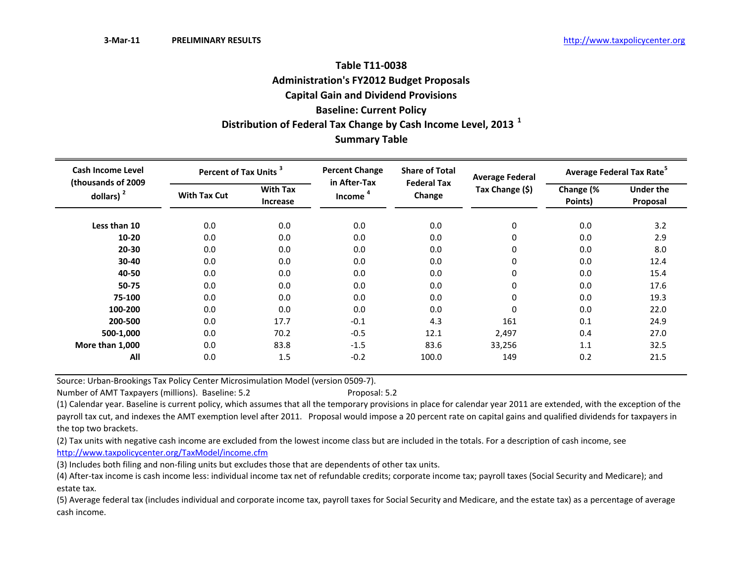# **Table T11‐0038Administration's FY2012 Budget Proposals Capital Gain and Dividend Provisions Baseline: Current Policy Distribution of Federal Tax Change by Cash Income Level, <sup>2013</sup> <sup>1</sup> Summary Table**

| <b>Cash Income Level</b>           | Percent of Tax Units <sup>3</sup> |                                    | <b>Percent Change</b><br>in After-Tax | <b>Share of Total</b><br><b>Federal Tax</b> | <b>Average Federal</b> | Average Federal Tax Rate <sup>5</sup> |                              |  |
|------------------------------------|-----------------------------------|------------------------------------|---------------------------------------|---------------------------------------------|------------------------|---------------------------------------|------------------------------|--|
| (thousands of 2009<br>dollars) $2$ | <b>With Tax Cut</b>               | <b>With Tax</b><br><b>Increase</b> | <b>Income</b>                         | Change                                      | Tax Change (\$)        | Change (%<br>Points)                  | <b>Under the</b><br>Proposal |  |
| Less than 10                       | 0.0                               | 0.0                                | 0.0                                   | 0.0                                         | $\mathbf 0$            | 0.0                                   | 3.2                          |  |
| $10 - 20$                          | 0.0                               | 0.0                                | 0.0                                   | 0.0                                         | 0                      | 0.0                                   | 2.9                          |  |
| $20 - 30$                          | 0.0                               | 0.0                                | 0.0                                   | 0.0                                         | 0                      | 0.0                                   | 8.0                          |  |
| 30-40                              | 0.0                               | 0.0                                | 0.0                                   | 0.0                                         | 0                      | 0.0                                   | 12.4                         |  |
| 40-50                              | 0.0                               | 0.0                                | 0.0                                   | 0.0                                         | $\mathbf 0$            | 0.0                                   | 15.4                         |  |
| 50-75                              | 0.0                               | 0.0                                | 0.0                                   | 0.0                                         | 0                      | 0.0                                   | 17.6                         |  |
| 75-100                             | 0.0                               | 0.0                                | 0.0                                   | 0.0                                         | $\mathbf 0$            | 0.0                                   | 19.3                         |  |
| 100-200                            | 0.0                               | 0.0                                | 0.0                                   | 0.0                                         | 0                      | 0.0                                   | 22.0                         |  |
| 200-500                            | 0.0                               | 17.7                               | $-0.1$                                | 4.3                                         | 161                    | 0.1                                   | 24.9                         |  |
| 500-1,000                          | 0.0                               | 70.2                               | $-0.5$                                | 12.1                                        | 2,497                  | 0.4                                   | 27.0                         |  |
| More than 1,000                    | 0.0                               | 83.8                               | $-1.5$                                | 83.6                                        | 33,256                 | 1.1                                   | 32.5                         |  |
| All                                | 0.0                               | 1.5                                | $-0.2$                                | 100.0                                       | 149                    | 0.2                                   | 21.5                         |  |

Source: Urban‐Brookings Tax Policy Center Microsimulation Model (version 0509‐7).

Number of AMT Taxpayers (millions). Baseline: 5.2 Proposal: 5.2

(1) Calendar year. Baseline is current policy, which assumes that all the temporary provisions in place for calendar year 2011 are extended, with the exception of the payroll tax cut, and indexes the AMT exemption level after 2011. Proposal would impose <sup>a</sup> 20 percent rate on capital gains and qualified dividends for taxpayers in the top two brackets.

(2) Tax units with negative cash income are excluded from the lowest income class but are included in the totals. For <sup>a</sup> description of cash income, see http://www.taxpolicycenter.org/TaxModel/income.cfm

(3) Includes both filing and non‐filing units but excludes those that are dependents of other tax units.

(4) After‐tax income is cash income less: individual income tax net of refundable credits; corporate income tax; payroll taxes (Social Security and Medicare); and estate tax.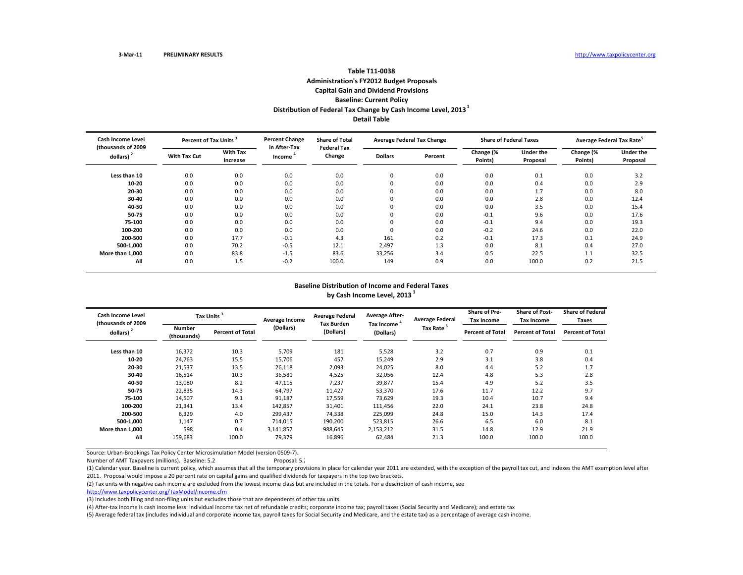# **Table T11‐0038Administration's FY2012 Budget Proposals Capital Gain and Dividend Provisions Baseline: Current Policy Distribution of Federal Tax Change by Cash Income Level, <sup>2013</sup><sup>1</sup> Detail Table**

| <b>Cash Income Level</b><br>(thousands of 2009 |              | <b>Percent Change</b><br>Percent of Tax Units <sup>3</sup> |                        | <b>Share of Total</b><br><b>Federal Tax</b> | <b>Average Federal Tax Change</b> |         | <b>Share of Federal Taxes</b> |                              | Average Federal Tax Rate <sup>5</sup> |                              |
|------------------------------------------------|--------------|------------------------------------------------------------|------------------------|---------------------------------------------|-----------------------------------|---------|-------------------------------|------------------------------|---------------------------------------|------------------------------|
| dollars)                                       | With Tax Cut | <b>With Tax</b><br>Increase                                | in After-Tax<br>Income | Change                                      | <b>Dollars</b>                    | Percent | Change (%<br>Points)          | <b>Under the</b><br>Proposal | Change (%<br>Points)                  | <b>Under the</b><br>Proposal |
| Less than 10                                   | 0.0          | 0.0                                                        | 0.0                    | 0.0                                         | 0                                 | 0.0     | 0.0                           | 0.1                          | 0.0                                   | 3.2                          |
| 10-20                                          | 0.0          | 0.0                                                        | 0.0                    | 0.0                                         | $\Omega$                          | 0.0     | 0.0                           | 0.4                          | 0.0                                   | 2.9                          |
| 20-30                                          | 0.0          | 0.0                                                        | 0.0                    | 0.0                                         | $\Omega$                          | 0.0     | 0.0                           | 1.7                          | 0.0                                   | 8.0                          |
| 30-40                                          | 0.0          | 0.0                                                        | 0.0                    | 0.0                                         | 0                                 | 0.0     | 0.0                           | 2.8                          | 0.0                                   | 12.4                         |
| 40-50                                          | 0.0          | 0.0                                                        | 0.0                    | 0.0                                         | $\Omega$                          | 0.0     | 0.0                           | 3.5                          | 0.0                                   | 15.4                         |
| 50-75                                          | 0.0          | 0.0                                                        | 0.0                    | 0.0                                         |                                   | 0.0     | $-0.1$                        | 9.6                          | 0.0                                   | 17.6                         |
| 75-100                                         | 0.0          | 0.0                                                        | 0.0                    | 0.0                                         |                                   | 0.0     | $-0.1$                        | 9.4                          | 0.0                                   | 19.3                         |
| 100-200                                        | 0.0          | 0.0                                                        | 0.0                    | 0.0                                         | υ                                 | 0.0     | $-0.2$                        | 24.6                         | 0.0                                   | 22.0                         |
| 200-500                                        | 0.0          | 17.7                                                       | $-0.1$                 | 4.3                                         | 161                               | 0.2     | $-0.1$                        | 17.3                         | 0.1                                   | 24.9                         |
| 500-1.000                                      | 0.0          | 70.2                                                       | $-0.5$                 | 12.1                                        | 2,497                             | 1.3     | 0.0                           | 8.1                          | 0.4                                   | 27.0                         |
| More than 1.000                                | 0.0          | 83.8                                                       | $-1.5$                 | 83.6                                        | 33,256                            | 3.4     | 0.5                           | 22.5                         | 1.1                                   | 32.5                         |
| All                                            | 0.0          | 1.5                                                        | $-0.2$                 | 100.0                                       | 149                               | 0.9     | 0.0                           | 100.0                        | 0.2                                   | 21.5                         |

#### **Baseline Distribution of Income and Federal Taxes by Cash Income Level, <sup>2013</sup> <sup>1</sup>**

| Cash Income Level<br>(thousands of 2009 |                       | Tax Units <sup>3</sup>  |           | <b>Average Federal</b><br><b>Tax Burden</b> | <b>Average After-</b><br>Tax Income <sup>4</sup> | <b>Average Federal</b> | <b>Share of Pre-</b><br><b>Tax Income</b> | <b>Share of Post-</b><br><b>Tax Income</b> | <b>Share of Federal</b><br>Taxes |
|-----------------------------------------|-----------------------|-------------------------|-----------|---------------------------------------------|--------------------------------------------------|------------------------|-------------------------------------------|--------------------------------------------|----------------------------------|
| dollars) <sup>2</sup>                   | Number<br>(thousands) | <b>Percent of Total</b> | (Dollars) | (Dollars)                                   | (Dollars)                                        | Tax Rate <sup>5</sup>  | <b>Percent of Total</b>                   | Percent of Total                           | <b>Percent of Total</b>          |
| Less than 10                            | 16,372                | 10.3                    | 5,709     | 181                                         | 5,528                                            | 3.2                    | 0.7                                       | 0.9                                        | 0.1                              |
| 10-20                                   | 24,763                | 15.5                    | 15,706    | 457                                         | 15,249                                           | 2.9                    | 3.1                                       | 3.8                                        | 0.4                              |
| 20-30                                   | 21,537                | 13.5                    | 26,118    | 2,093                                       | 24,025                                           | 8.0                    | 4.4                                       | 5.2                                        | 1.7                              |
| 30-40                                   | 16,514                | 10.3                    | 36,581    | 4,525                                       | 32,056                                           | 12.4                   | 4.8                                       | 5.3                                        | 2.8                              |
| 40-50                                   | 13,080                | 8.2                     | 47,115    | 7,237                                       | 39,877                                           | 15.4                   | 4.9                                       | 5.2                                        | 3.5                              |
| 50-75                                   | 22,835                | 14.3                    | 64,797    | 11,427                                      | 53,370                                           | 17.6                   | 11.7                                      | 12.2                                       | 9.7                              |
| 75-100                                  | 14,507                | 9.1                     | 91,187    | 17,559                                      | 73,629                                           | 19.3                   | 10.4                                      | 10.7                                       | 9.4                              |
| 100-200                                 | 21,341                | 13.4                    | 142,857   | 31,401                                      | 111,456                                          | 22.0                   | 24.1                                      | 23.8                                       | 24.8                             |
| 200-500                                 | 6,329                 | 4.0                     | 299,437   | 74,338                                      | 225,099                                          | 24.8                   | 15.0                                      | 14.3                                       | 17.4                             |
| 500-1,000                               | 1,147                 | 0.7                     | 714,015   | 190,200                                     | 523,815                                          | 26.6                   | 6.5                                       | 6.0                                        | 8.1                              |
| More than 1,000                         | 598                   | 0.4                     | 3,141,857 | 988,645                                     | 2,153,212                                        | 31.5                   | 14.8                                      | 12.9                                       | 21.9                             |
| All                                     | 159,683               | 100.0                   | 79,379    | 16,896                                      | 62,484                                           | 21.3                   | 100.0                                     | 100.0                                      | 100.0                            |

Source: Urban‐Brookings Tax Policy Center Microsimulation Model (version 0509‐7).

Number of AMT Taxpayers (millions). Baseline: 5.2 Proposal: 5.2

(1) Calendar year. Baseline is current policy, which assumes that all the temporary provisions in place for calendar year 2011 are extended, with the exception of the payroll tax cut, and indexes the AMT exemption level af 2011. Proposal would impose <sup>a</sup> 20 percent rate on capital gains and qualified dividends for taxpayers in the top two brackets.

(2) Tax units with negative cash income are excluded from the lowest income class but are included in the totals. For <sup>a</sup> description of cash income, see

http://www.taxpolicycenter.org/TaxModel/income.cfm

(3) Includes both filing and non‐filing units but excludes those that are dependents of other tax units.

(4) After-tax income is cash income less: individual income tax net of refundable credits; corporate income tax; payroll taxes (Social Security and Medicare); and estate tax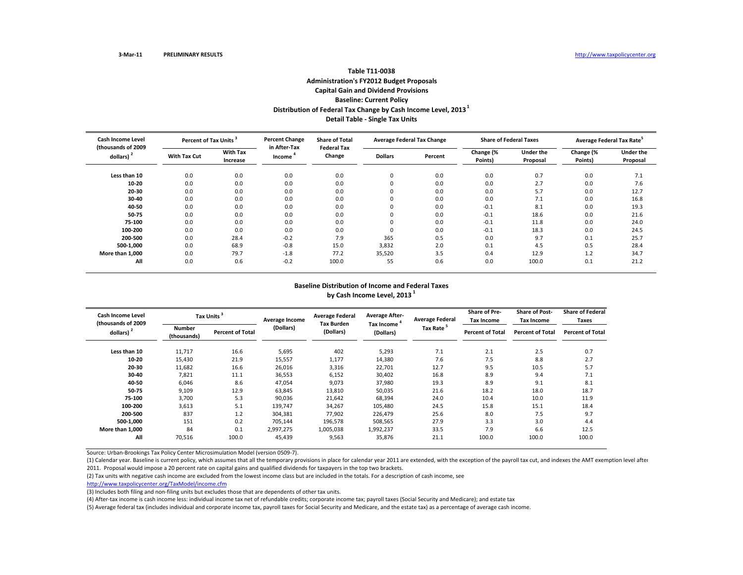# **Table T11‐0038Administration's FY2012 Budget Proposals Capital Gain and Dividend Provisions Baseline: Current Policy Distribution of Federal Tax Change by Cash Income Level, <sup>2013</sup><sup>1</sup> Detail Table ‐ Single Tax Units**

| <b>Cash Income Level</b><br>(thousands of 2009 |              | <b>Percent Change</b><br>Percent of Tax Units <sup>3</sup> |                        | <b>Share of Total</b><br><b>Federal Tax</b> | <b>Average Federal Tax Change</b> |         | <b>Share of Federal Taxes</b> |                              | Average Federal Tax Rate <sup>5</sup> |                              |
|------------------------------------------------|--------------|------------------------------------------------------------|------------------------|---------------------------------------------|-----------------------------------|---------|-------------------------------|------------------------------|---------------------------------------|------------------------------|
| dollars)                                       | With Tax Cut | <b>With Tax</b><br>Increase                                | in After-Tax<br>Income | Change                                      | <b>Dollars</b>                    | Percent | Change (%<br>Points)          | <b>Under the</b><br>Proposal | Change (%<br>Points)                  | <b>Under the</b><br>Proposal |
| Less than 10                                   | 0.0          | 0.0                                                        | 0.0                    | 0.0                                         | 0                                 | 0.0     | 0.0                           | 0.7                          | 0.0                                   | 7.1                          |
| 10-20                                          | 0.0          | 0.0                                                        | 0.0                    | 0.0                                         | $\Omega$                          | 0.0     | 0.0                           | 2.7                          | 0.0                                   | 7.6                          |
| 20-30                                          | 0.0          | 0.0                                                        | 0.0                    | 0.0                                         | $\Omega$                          | 0.0     | 0.0                           | 5.7                          | 0.0                                   | 12.7                         |
| 30-40                                          | 0.0          | 0.0                                                        | 0.0                    | 0.0                                         | 0                                 | 0.0     | 0.0                           | 7.1                          | 0.0                                   | 16.8                         |
| 40-50                                          | 0.0          | 0.0                                                        | 0.0                    | 0.0                                         | $\Omega$                          | 0.0     | $-0.1$                        | 8.1                          | 0.0                                   | 19.3                         |
| $50 - 75$                                      | 0.0          | 0.0                                                        | 0.0                    | 0.0                                         |                                   | 0.0     | $-0.1$                        | 18.6                         | 0.0                                   | 21.6                         |
| 75-100                                         | 0.0          | 0.0                                                        | 0.0                    | 0.0                                         |                                   | 0.0     | $-0.1$                        | 11.8                         | 0.0                                   | 24.0                         |
| 100-200                                        | 0.0          | 0.0                                                        | 0.0                    | 0.0                                         | υ                                 | 0.0     | $-0.1$                        | 18.3                         | 0.0                                   | 24.5                         |
| 200-500                                        | 0.0          | 28.4                                                       | $-0.2$                 | 7.9                                         | 365                               | 0.5     | 0.0                           | 9.7                          | 0.1                                   | 25.7                         |
| 500-1.000                                      | 0.0          | 68.9                                                       | $-0.8$                 | 15.0                                        | 3,832                             | 2.0     | 0.1                           | 4.5                          | 0.5                                   | 28.4                         |
| More than 1.000                                | 0.0          | 79.7                                                       | $-1.8$                 | 77.2                                        | 35,520                            | 3.5     | 0.4                           | 12.9                         | 1.2                                   | 34.7                         |
| All                                            | 0.0          | 0.6                                                        | $-0.2$                 | 100.0                                       | 55                                | 0.6     | 0.0                           | 100.0                        | 0.1                                   | 21.2                         |

#### **Baseline Distribution of Income and Federal Taxes by Cash Income Level, <sup>2013</sup> <sup>1</sup>**

| Cash Income Level<br>(thousands of 2009 |                              | Tax Units <sup>3</sup>  | Average Income | <b>Average Federal</b><br><b>Tax Burden</b> | <b>Average After-</b><br>Tax Income <sup>4</sup> | <b>Average Federal</b> | <b>Share of Pre-</b><br><b>Tax Income</b> | <b>Share of Post-</b><br><b>Tax Income</b> | <b>Share of Federal</b><br>Taxes |
|-----------------------------------------|------------------------------|-------------------------|----------------|---------------------------------------------|--------------------------------------------------|------------------------|-------------------------------------------|--------------------------------------------|----------------------------------|
| dollars) $2$                            | <b>Number</b><br>(thousands) | <b>Percent of Total</b> | (Dollars)      | (Dollars)                                   | (Dollars)                                        | Tax Rate <sup>5</sup>  | <b>Percent of Total</b>                   | <b>Percent of Total</b>                    | <b>Percent of Total</b>          |
| Less than 10                            | 11,717                       | 16.6                    | 5,695          | 402                                         | 5,293                                            | 7.1                    | 2.1                                       | 2.5                                        | 0.7                              |
| 10-20                                   | 15,430                       | 21.9                    | 15,557         | 1,177                                       | 14,380                                           | 7.6                    | 7.5                                       | 8.8                                        | 2.7                              |
| 20-30                                   | 11,682                       | 16.6                    | 26,016         | 3,316                                       | 22,701                                           | 12.7                   | 9.5                                       | 10.5                                       | 5.7                              |
| 30-40                                   | 7,821                        | 11.1                    | 36,553         | 6,152                                       | 30,402                                           | 16.8                   | 8.9                                       | 9.4                                        | 7.1                              |
| 40-50                                   | 6,046                        | 8.6                     | 47,054         | 9,073                                       | 37,980                                           | 19.3                   | 8.9                                       | 9.1                                        | 8.1                              |
| 50-75                                   | 9,109                        | 12.9                    | 63,845         | 13,810                                      | 50,035                                           | 21.6                   | 18.2                                      | 18.0                                       | 18.7                             |
| 75-100                                  | 3,700                        | 5.3                     | 90,036         | 21,642                                      | 68,394                                           | 24.0                   | 10.4                                      | 10.0                                       | 11.9                             |
| 100-200                                 | 3,613                        | 5.1                     | 139,747        | 34,267                                      | 105,480                                          | 24.5                   | 15.8                                      | 15.1                                       | 18.4                             |
| 200-500                                 | 837                          | 1.2                     | 304,381        | 77,902                                      | 226.479                                          | 25.6                   | 8.0                                       | 7.5                                        | 9.7                              |
| 500-1,000                               | 151                          | 0.2                     | 705,144        | 196,578                                     | 508,565                                          | 27.9                   | 3.3                                       | 3.0                                        | 4.4                              |
| More than 1,000                         | 84                           | 0.1                     | 2,997,275      | 1,005,038                                   | 1,992,237                                        | 33.5                   | 7.9                                       | 6.6                                        | 12.5                             |
| All                                     | 70,516                       | 100.0                   | 45,439         | 9,563                                       | 35,876                                           | 21.1                   | 100.0                                     | 100.0                                      | 100.0                            |

Source: Urban‐Brookings Tax Policy Center Microsimulation Model (version 0509‐7).

(1) Calendar year. Baseline is current policy, which assumes that all the temporary provisions in place for calendar year 2011 are extended, with the exception of the payroll tax cut, and indexes the AMT exemption level af 2011. Proposal would impose <sup>a</sup> 20 percent rate on capital gains and qualified dividends for taxpayers in the top two brackets.

(2) Tax units with negative cash income are excluded from the lowest income class but are included in the totals. For <sup>a</sup> description of cash income, see

http://www.taxpolicycenter.org/TaxModel/income.cfm

(3) Includes both filing and non‐filing units but excludes those that are dependents of other tax units.

(4) After‐tax income is cash income less: individual income tax net of refundable credits; corporate income tax; payroll taxes (Social Security and Medicare); and estate tax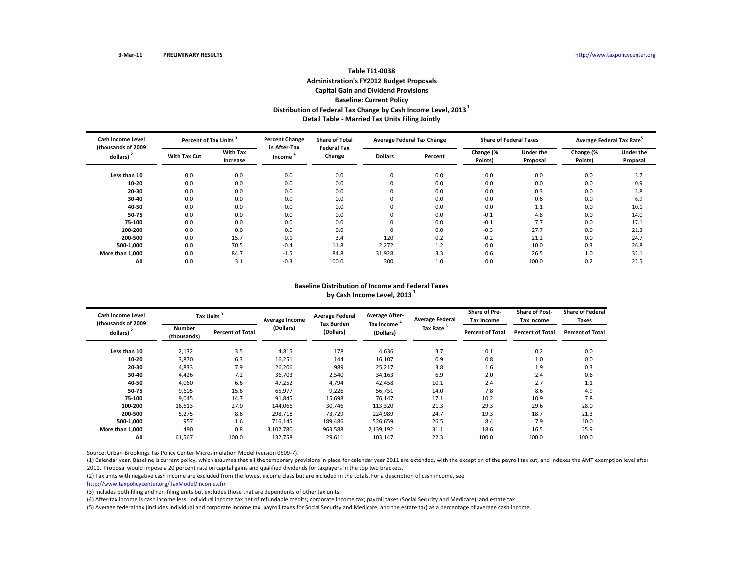# **Table T11‐0038Administration's FY2012 Budget Proposals Capital Gain and Dividend Provisions Baseline: Current Policy Distribution of Federal Tax Change by Cash Income Level, <sup>2013</sup><sup>1</sup> Detail Table ‐ Married Tax Units Filing Jointly**

| Cash Income Level<br>(thousands of 2009 | Percent of Tax Units <sup>3</sup> |                             | <b>Percent Change</b><br>in After-Tax | <b>Share of Total</b><br><b>Federal Tax</b> | <b>Average Federal Tax Change</b> |         | <b>Share of Federal Taxes</b> |                              | Average Federal Tax Rate <sup>5</sup> |                              |
|-----------------------------------------|-----------------------------------|-----------------------------|---------------------------------------|---------------------------------------------|-----------------------------------|---------|-------------------------------|------------------------------|---------------------------------------|------------------------------|
| dollars)                                | With Tax Cut                      | <b>With Tax</b><br>Increase | Income                                | Change                                      | <b>Dollars</b>                    | Percent | Change (%<br>Points)          | <b>Under the</b><br>Proposal | Change (%<br>Points)                  | <b>Under the</b><br>Proposal |
| Less than 10                            | 0.0                               | 0.0                         | 0.0                                   | 0.0                                         | $\sim$<br>υ                       | 0.0     | 0.0                           | 0.0                          | 0.0                                   | 3.7                          |
| 10-20                                   | 0.0                               | 0.0                         | 0.0                                   | 0.0                                         | 0                                 | 0.0     | 0.0                           | 0.0                          | 0.0                                   | 0.9                          |
| 20-30                                   | 0.0                               | 0.0                         | 0.0                                   | 0.0                                         | $\Omega$                          | 0.0     | 0.0                           | 0.3                          | 0.0                                   | 3.8                          |
| 30-40                                   | 0.0                               | 0.0                         | 0.0                                   | 0.0                                         | $\sim$<br>υ                       | 0.0     | 0.0                           | 0.6                          | 0.0                                   | 6.9                          |
| 40-50                                   | 0.0                               | 0.0                         | 0.0                                   | 0.0                                         | $\Omega$                          | 0.0     | 0.0                           | 1.1                          | 0.0                                   | 10.1                         |
| 50-75                                   | 0.0                               | 0.0                         | 0.0                                   | 0.0                                         |                                   | 0.0     | $-0.1$                        | 4.8                          | 0.0                                   | 14.0                         |
| 75-100                                  | 0.0                               | 0.0                         | 0.0                                   | 0.0                                         |                                   | 0.0     | $-0.1$                        | 7.7                          | 0.0                                   | 17.1                         |
| 100-200                                 | 0.0                               | 0.0                         | 0.0                                   | 0.0                                         |                                   | 0.0     | $-0.3$                        | 27.7                         | 0.0                                   | 21.3                         |
| 200-500                                 | 0.0                               | 15.7                        | $-0.1$                                | 3.4                                         | 120                               | 0.2     | $-0.2$                        | 21.2                         | 0.0                                   | 24.7                         |
| 500-1.000                               | 0.0                               | 70.5                        | $-0.4$                                | 11.8                                        | 2,272                             | 1.2     | 0.0                           | 10.0                         | 0.3                                   | 26.8                         |
| More than 1,000                         | 0.0                               | 84.7                        | $-1.5$                                | 84.8                                        | 31,928                            | 3.3     | 0.6                           | 26.5                         | 1.0                                   | 32.1                         |
| All                                     | 0.0                               | 3.1                         | $-0.3$                                | 100.0                                       | 300                               | 1.0     | 0.0                           | 100.0                        | 0.2                                   | 22.5                         |

#### **Baseline Distribution of Income and Federal Taxes by Cash Income Level, <sup>2013</sup> <sup>1</sup>**

| <b>Cash Income Level</b><br>(thousands of 2009 |                       | Tax Units <sup>3</sup><br>Average Income |           | <b>Average Federal</b><br><b>Tax Burden</b> | <b>Average After-</b><br><b>Average Federal</b> |                       | <b>Share of Pre-</b><br>Tax Income | <b>Share of Post-</b><br><b>Tax Income</b> | <b>Share of Federal</b><br>Taxes |
|------------------------------------------------|-----------------------|------------------------------------------|-----------|---------------------------------------------|-------------------------------------------------|-----------------------|------------------------------------|--------------------------------------------|----------------------------------|
| dollars) $2$                                   | Number<br>(thousands) | <b>Percent of Total</b>                  | (Dollars) | (Dollars)                                   | Tax Income <sup>4</sup><br>(Dollars)            | Tax Rate <sup>5</sup> | <b>Percent of Total</b>            | <b>Percent of Total</b>                    | <b>Percent of Total</b>          |
| Less than 10                                   | 2,132                 | 3.5                                      | 4,815     | 178                                         | 4,636                                           | 3.7                   | 0.1                                | 0.2                                        | 0.0                              |
| 10-20                                          | 3,870                 | 6.3                                      | 16,251    | 144                                         | 16,107                                          | 0.9                   | 0.8                                | 1.0                                        | 0.0                              |
| 20-30                                          | 4,833                 | 7.9                                      | 26,206    | 989                                         | 25,217                                          | 3.8                   | 1.6                                | 1.9                                        | 0.3                              |
| 30-40                                          | 4,426                 | 7.2                                      | 36,703    | 2,540                                       | 34,163                                          | 6.9                   | 2.0                                | 2.4                                        | 0.6                              |
| 40-50                                          | 4,060                 | 6.6                                      | 47,252    | 4,794                                       | 42,458                                          | 10.1                  | 2.4                                | 2.7                                        | 1.1                              |
| 50-75                                          | 9,605                 | 15.6                                     | 65,977    | 9,226                                       | 56,751                                          | 14.0                  | 7.8                                | 8.6                                        | 4.9                              |
| 75-100                                         | 9,045                 | 14.7                                     | 91,845    | 15,698                                      | 76,147                                          | 17.1                  | 10.2                               | 10.9                                       | 7.8                              |
| 100-200                                        | 16,613                | 27.0                                     | 144,066   | 30,746                                      | 113,320                                         | 21.3                  | 29.3                               | 29.6                                       | 28.0                             |
| 200-500                                        | 5,275                 | 8.6                                      | 298,718   | 73,729                                      | 224,989                                         | 24.7                  | 19.3                               | 18.7                                       | 21.3                             |
| 500-1,000                                      | 957                   | 1.6                                      | 716,145   | 189,486                                     | 526,659                                         | 26.5                  | 8.4                                | 7.9                                        | 10.0                             |
| More than 1.000                                | 490                   | 0.8                                      | 3,102,780 | 963,588                                     | 2,139,192                                       | 31.1                  | 18.6                               | 16.5                                       | 25.9                             |
| All                                            | 61,567                | 100.0                                    | 132,758   | 29,611                                      | 103,147                                         | 22.3                  | 100.0                              | 100.0                                      | 100.0                            |

Source: Urban‐Brookings Tax Policy Center Microsimulation Model (version 0509‐7).

(1) Calendar year. Baseline is current policy, which assumes that all the temporary provisions in place for calendar year 2011 are extended, with the exception of the payroll tax cut, and indexes the AMT exemption level af 2011. Proposal would impose <sup>a</sup> 20 percent rate on capital gains and qualified dividends for taxpayers in the top two brackets.

(2) Tax units with negative cash income are excluded from the lowest income class but are included in the totals. For <sup>a</sup> description of cash income, see

http://www.taxpolicycenter.org/TaxModel/income.cfm

(3) Includes both filing and non‐filing units but excludes those that are dependents of other tax units.

(4) After‐tax income is cash income less: individual income tax net of refundable credits; corporate income tax; payroll taxes (Social Security and Medicare); and estate tax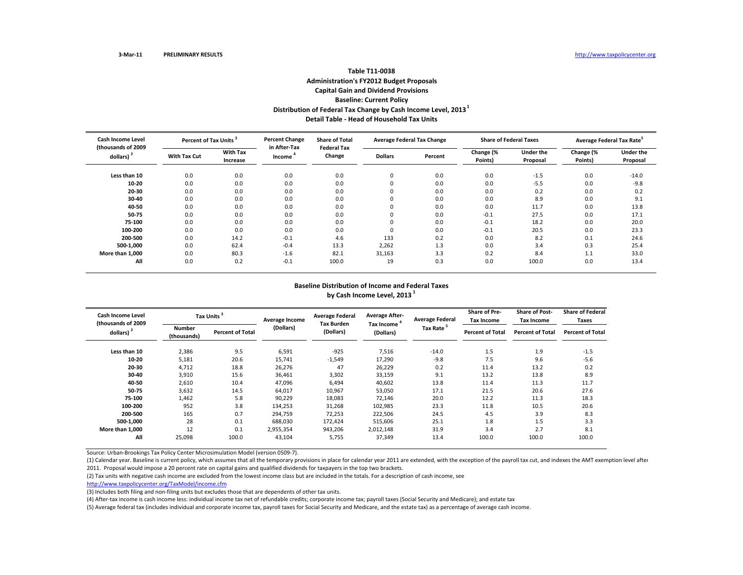## **Table T11‐0038Administration's FY2012 Budget Proposals Capital Gain and Dividend Provisions Baseline: Current Policy Distribution of Federal Tax Change by Cash Income Level, <sup>2013</sup><sup>1</sup> Detail Table ‐ Head of Household Tax Units**

| <b>Cash Income Level</b><br>(thousands of 2009 |              | <b>Percent Change</b><br>Percent of Tax Units <sup>3</sup> |                        | <b>Share of Total</b><br><b>Federal Tax</b> | <b>Average Federal Tax Change</b> |         | <b>Share of Federal Taxes</b> |                              | Average Federal Tax Rate <sup>5</sup> |                              |
|------------------------------------------------|--------------|------------------------------------------------------------|------------------------|---------------------------------------------|-----------------------------------|---------|-------------------------------|------------------------------|---------------------------------------|------------------------------|
| dollars)                                       | With Tax Cut | <b>With Tax</b><br>Increase                                | in After-Tax<br>Income | Change                                      | <b>Dollars</b>                    | Percent | Change (%<br>Points)          | <b>Under the</b><br>Proposal | Change (%<br>Points)                  | <b>Under the</b><br>Proposal |
| Less than 10                                   | 0.0          | 0.0                                                        | 0.0                    | 0.0                                         | 0                                 | 0.0     | 0.0                           | $-1.5$                       | 0.0                                   | $-14.0$                      |
| 10-20                                          | 0.0          | 0.0                                                        | 0.0                    | 0.0                                         | $\Omega$                          | 0.0     | 0.0                           | $-5.5$                       | 0.0                                   | $-9.8$                       |
| 20-30                                          | 0.0          | 0.0                                                        | 0.0                    | 0.0                                         | $\Omega$                          | 0.0     | 0.0                           | 0.2                          | 0.0                                   | 0.2                          |
| 30-40                                          | 0.0          | 0.0                                                        | 0.0                    | 0.0                                         | 0                                 | 0.0     | 0.0                           | 8.9                          | 0.0                                   | 9.1                          |
| 40-50                                          | 0.0          | 0.0                                                        | 0.0                    | 0.0                                         | $\Omega$                          | 0.0     | 0.0                           | 11.7                         | 0.0                                   | 13.8                         |
| 50-75                                          | 0.0          | 0.0                                                        | 0.0                    | 0.0                                         |                                   | 0.0     | $-0.1$                        | 27.5                         | 0.0                                   | 17.1                         |
| 75-100                                         | 0.0          | 0.0                                                        | 0.0                    | 0.0                                         |                                   | 0.0     | $-0.1$                        | 18.2                         | 0.0                                   | 20.0                         |
| 100-200                                        | 0.0          | 0.0                                                        | 0.0                    | 0.0                                         | υ                                 | 0.0     | $-0.1$                        | 20.5                         | 0.0                                   | 23.3                         |
| 200-500                                        | 0.0          | 14.2                                                       | $-0.1$                 | 4.6                                         | 133                               | 0.2     | 0.0                           | 8.2                          | 0.1                                   | 24.6                         |
| 500-1.000                                      | 0.0          | 62.4                                                       | $-0.4$                 | 13.3                                        | 2,262                             | 1.3     | 0.0                           | 3.4                          | 0.3                                   | 25.4                         |
| More than 1.000                                | 0.0          | 80.3                                                       | $-1.6$                 | 82.1                                        | 31,163                            | 3.3     | 0.2                           | 8.4                          | 1.1                                   | 33.0                         |
| All                                            | 0.0          | 0.2                                                        | $-0.1$                 | 100.0                                       | 19                                | 0.3     | 0.0                           | 100.0                        | 0.0                                   | 13.4                         |

#### **Baseline Distribution of Income and Federal Taxes by Cash Income Level, <sup>2013</sup> <sup>1</sup>**

| Cash Income Level<br>(thousands of 2009 |                              | Tax Units <sup>3</sup>  |           | <b>Average Federal</b><br><b>Tax Burden</b> | <b>Average After-</b>                | <b>Average Federal</b> | Share of Pre-<br><b>Tax Income</b> | <b>Share of Post-</b><br><b>Tax Income</b> | <b>Share of Federal</b><br>Taxes |
|-----------------------------------------|------------------------------|-------------------------|-----------|---------------------------------------------|--------------------------------------|------------------------|------------------------------------|--------------------------------------------|----------------------------------|
| dollars) $2$                            | <b>Number</b><br>(thousands) | <b>Percent of Total</b> | (Dollars) | (Dollars)                                   | Tax Income <sup>4</sup><br>(Dollars) | Tax Rate <sup>5</sup>  | <b>Percent of Total</b>            | <b>Percent of Total</b>                    | <b>Percent of Total</b>          |
| Less than 10                            | 2,386                        | 9.5                     | 6,591     | $-925$                                      | 7,516                                | $-14.0$                | 1.5                                | 1.9                                        | $-1.5$                           |
| 10-20                                   | 5,181                        | 20.6                    | 15,741    | $-1,549$                                    | 17,290                               | $-9.8$                 | 7.5                                | 9.6                                        | $-5.6$                           |
| 20-30                                   | 4,712                        | 18.8                    | 26,276    | 47                                          | 26,229                               | 0.2                    | 11.4                               | 13.2                                       | 0.2                              |
| 30-40                                   | 3,910                        | 15.6                    | 36,461    | 3,302                                       | 33,159                               | 9.1                    | 13.2                               | 13.8                                       | 8.9                              |
| 40-50                                   | 2,610                        | 10.4                    | 47,096    | 6,494                                       | 40,602                               | 13.8                   | 11.4                               | 11.3                                       | 11.7                             |
| 50-75                                   | 3,632                        | 14.5                    | 64,017    | 10,967                                      | 53,050                               | 17.1                   | 21.5                               | 20.6                                       | 27.6                             |
| 75-100                                  | 1,462                        | 5.8                     | 90,229    | 18,083                                      | 72,146                               | 20.0                   | 12.2                               | 11.3                                       | 18.3                             |
| 100-200                                 | 952                          | 3.8                     | 134,253   | 31,268                                      | 102,985                              | 23.3                   | 11.8                               | 10.5                                       | 20.6                             |
| 200-500                                 | 165                          | 0.7                     | 294,759   | 72,253                                      | 222,506                              | 24.5                   | 4.5                                | 3.9                                        | 8.3                              |
| 500-1.000                               | 28                           | 0.1                     | 688,030   | 172,424                                     | 515,606                              | 25.1                   | 1.8                                | 1.5                                        | 3.3                              |
| More than 1,000                         | 12                           | 0.1                     | 2,955,354 | 943,206                                     | 2,012,148                            | 31.9                   | 3.4                                | 2.7                                        | 8.1                              |
| All                                     | 25,098                       | 100.0                   | 43,104    | 5,755                                       | 37,349                               | 13.4                   | 100.0                              | 100.0                                      | 100.0                            |

Source: Urban‐Brookings Tax Policy Center Microsimulation Model (version 0509‐7).

(1) Calendar year. Baseline is current policy, which assumes that all the temporary provisions in place for calendar year 2011 are extended, with the exception of the payroll tax cut, and indexes the AMT exemption level af 2011. Proposal would impose <sup>a</sup> 20 percent rate on capital gains and qualified dividends for taxpayers in the top two brackets.

(2) Tax units with negative cash income are excluded from the lowest income class but are included in the totals. For <sup>a</sup> description of cash income, see

http://www.taxpolicycenter.org/TaxModel/income.cfm

(3) Includes both filing and non‐filing units but excludes those that are dependents of other tax units.

(4) After‐tax income is cash income less: individual income tax net of refundable credits; corporate income tax; payroll taxes (Social Security and Medicare); and estate tax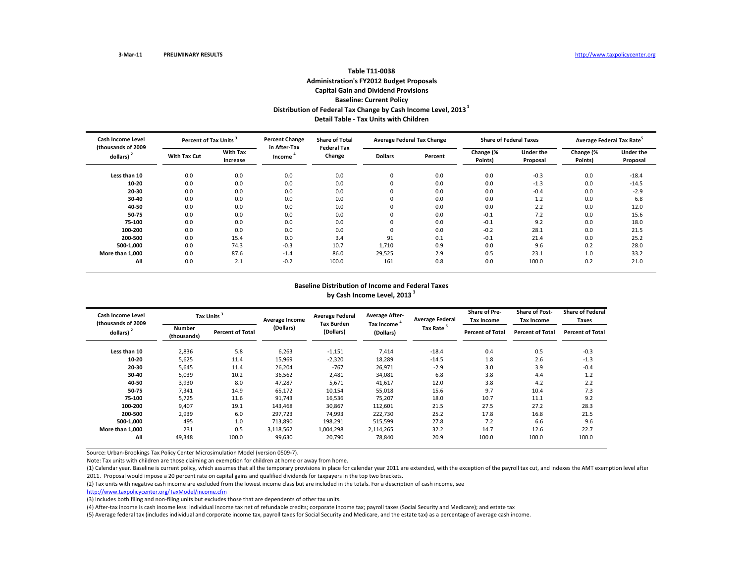## **Table T11‐0038Administration's FY2012 Budget Proposals Capital Gain and Dividend Provisions Baseline: Current Policy Distribution of Federal Tax Change by Cash Income Level, <sup>2013</sup><sup>1</sup> Detail Table ‐ Tax Units with Children**

| <b>Cash Income Level</b><br>(thousands of 2009 |                     | <b>Percent Change</b><br>Percent of Tax Units <sup>3</sup> |                        | <b>Share of Total</b><br><b>Federal Tax</b> | <b>Average Federal Tax Change</b> |         | <b>Share of Federal Taxes</b> |                              | Average Federal Tax Rate <sup>5</sup> |                              |
|------------------------------------------------|---------------------|------------------------------------------------------------|------------------------|---------------------------------------------|-----------------------------------|---------|-------------------------------|------------------------------|---------------------------------------|------------------------------|
| dollars)                                       | <b>With Tax Cut</b> | <b>With Tax</b><br>Increase                                | in After-Tax<br>Income | Change                                      | <b>Dollars</b>                    | Percent | Change (%<br>Points)          | <b>Under the</b><br>Proposal | Change (%<br>Points)                  | <b>Under the</b><br>Proposal |
| Less than 10                                   | 0.0                 | 0.0                                                        | 0.0                    | 0.0                                         | 0                                 | 0.0     | 0.0                           | $-0.3$                       | 0.0                                   | $-18.4$                      |
| 10-20                                          | 0.0                 | 0.0                                                        | 0.0                    | 0.0                                         |                                   | 0.0     | 0.0                           | $-1.3$                       | 0.0                                   | $-14.5$                      |
| 20-30                                          | 0.0                 | 0.0                                                        | 0.0                    | 0.0                                         | $\Omega$                          | 0.0     | 0.0                           | $-0.4$                       | 0.0                                   | $-2.9$                       |
| 30-40                                          | 0.0                 | 0.0                                                        | 0.0                    | 0.0                                         | υ                                 | 0.0     | 0.0                           | 1.2                          | 0.0                                   | 6.8                          |
| 40-50                                          | 0.0                 | 0.0                                                        | 0.0                    | 0.0                                         | $\Omega$                          | 0.0     | 0.0                           | 2.2                          | 0.0                                   | 12.0                         |
| 50-75                                          | 0.0                 | 0.0                                                        | 0.0                    | 0.0                                         |                                   | 0.0     | $-0.1$                        | 7.2                          | 0.0                                   | 15.6                         |
| 75-100                                         | 0.0                 | 0.0                                                        | 0.0                    | 0.0                                         |                                   | 0.0     | $-0.1$                        | 9.2                          | 0.0                                   | 18.0                         |
| 100-200                                        | 0.0                 | 0.0                                                        | 0.0                    | 0.0                                         | υ                                 | 0.0     | $-0.2$                        | 28.1                         | 0.0                                   | 21.5                         |
| 200-500                                        | 0.0                 | 15.4                                                       | 0.0                    | 3.4                                         | 91                                | 0.1     | $-0.1$                        | 21.4                         | 0.0                                   | 25.2                         |
| 500-1.000                                      | 0.0                 | 74.3                                                       | $-0.3$                 | 10.7                                        | 1.710                             | 0.9     | 0.0                           | 9.6                          | 0.2                                   | 28.0                         |
| More than 1.000                                | 0.0                 | 87.6                                                       | $-1.4$                 | 86.0                                        | 29,525                            | 2.9     | 0.5                           | 23.1                         | 1.0                                   | 33.2                         |
| All                                            | 0.0                 | 2.1                                                        | $-0.2$                 | 100.0                                       | 161                               | 0.8     | 0.0                           | 100.0                        | 0.2                                   | 21.0                         |

#### **Baseline Distribution of Income and Federal Taxes by Cash Income Level, <sup>2013</sup> <sup>1</sup>**

| Cash Income Level<br>(thousands of 2009 | Tax Units <sup>3</sup> |                         | Average Income | <b>Average Federal</b><br><b>Tax Burden</b> | <b>Average After-</b>     | <b>Average Federal</b> | Share of Pre-<br>Tax Income | <b>Share of Post-</b><br><b>Tax Income</b> | <b>Share of Federal</b><br>Taxes |
|-----------------------------------------|------------------------|-------------------------|----------------|---------------------------------------------|---------------------------|------------------------|-----------------------------|--------------------------------------------|----------------------------------|
| dollars) <sup>2</sup>                   | Number<br>(thousands)  | <b>Percent of Total</b> | (Dollars)      | (Dollars)                                   | Tax Income '<br>(Dollars) | Tax Rate <sup>5</sup>  | <b>Percent of Total</b>     | <b>Percent of Total</b>                    | <b>Percent of Total</b>          |
| Less than 10                            | 2,836                  | 5.8                     | 6,263          | $-1,151$                                    | 7,414                     | $-18.4$                | 0.4                         | 0.5                                        | $-0.3$                           |
| 10-20                                   | 5,625                  | 11.4                    | 15,969         | $-2,320$                                    | 18,289                    | $-14.5$                | 1.8                         | 2.6                                        | $-1.3$                           |
| 20-30                                   | 5,645                  | 11.4                    | 26,204         | $-767$                                      | 26,971                    | $-2.9$                 | 3.0                         | 3.9                                        | $-0.4$                           |
| 30-40                                   | 5,039                  | 10.2                    | 36,562         | 2,481                                       | 34,081                    | 6.8                    | 3.8                         | 4.4                                        | 1.2                              |
| 40-50                                   | 3,930                  | 8.0                     | 47,287         | 5,671                                       | 41,617                    | 12.0                   | 3.8                         | 4.2                                        | 2.2                              |
| 50-75                                   | 7,341                  | 14.9                    | 65,172         | 10,154                                      | 55,018                    | 15.6                   | 9.7                         | 10.4                                       | 7.3                              |
| 75-100                                  | 5,725                  | 11.6                    | 91,743         | 16,536                                      | 75,207                    | 18.0                   | 10.7                        | 11.1                                       | 9.2                              |
| 100-200                                 | 9,407                  | 19.1                    | 143,468        | 30,867                                      | 112,601                   | 21.5                   | 27.5                        | 27.2                                       | 28.3                             |
| 200-500                                 | 2,939                  | 6.0                     | 297,723        | 74,993                                      | 222,730                   | 25.2                   | 17.8                        | 16.8                                       | 21.5                             |
| 500-1,000                               | 495                    | 1.0                     | 713,890        | 198,291                                     | 515,599                   | 27.8                   | 7.2                         | 6.6                                        | 9.6                              |
| More than 1.000                         | 231                    | 0.5                     | 3,118,562      | 1,004,298                                   | 2,114,265                 | 32.2                   | 14.7                        | 12.6                                       | 22.7                             |
| All                                     | 49,348                 | 100.0                   | 99,630         | 20,790                                      | 78,840                    | 20.9                   | 100.0                       | 100.0                                      | 100.0                            |

Source: Urban‐Brookings Tax Policy Center Microsimulation Model (version 0509‐7).

Note: Tax units with children are those claiming an exemption for children at home or away from home.

(1) Calendar year. Baseline is current policy, which assumes that all the temporary provisions in place for calendar year 2011 are extended, with the exception of the payroll tax cut, and indexes the AMT exemption level af 2011. Proposal would impose <sup>a</sup> 20 percent rate on capital gains and qualified dividends for taxpayers in the top two brackets.

(2) Tax units with negative cash income are excluded from the lowest income class but are included in the totals. For <sup>a</sup> description of cash income, see

http://www.taxpolicycenter.org/TaxModel/income.cfm

(3) Includes both filing and non‐filing units but excludes those that are dependents of other tax units.

(4) After-tax income is cash income less: individual income tax net of refundable credits; corporate income tax; payroll taxes (Social Security and Medicare); and estate tax